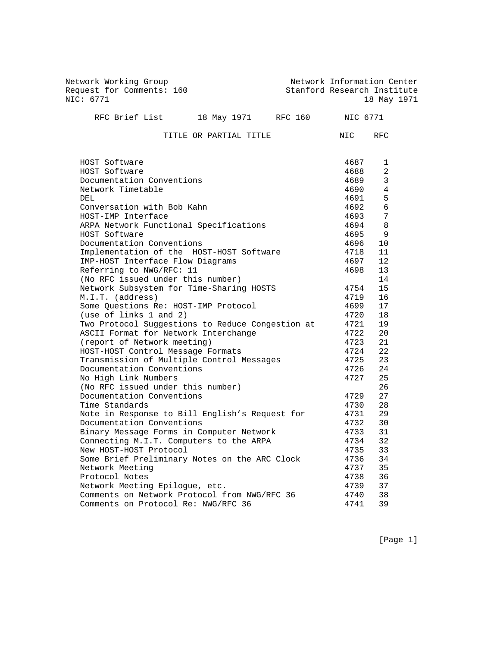Network Working Group Network Information Center Request for Comments: 160 Stanford Research Institute Network working drought<br>Request for Comments: 160 113 Stanford Research Institute<br>NIC: 6771 18 May 1971 RFC Brief List 18 May 1971 RFC 160 NIC 6771

TITLE OR PARTIAL TITLE **NIC** RFC

| HOST Software                                    | 4687 | 1               |
|--------------------------------------------------|------|-----------------|
| HOST Software                                    | 4688 | 2               |
| Documentation Conventions                        | 4689 | $\mathbf{3}$    |
| Network Timetable                                | 4690 | $\overline{4}$  |
| DEL.                                             | 4691 | 5               |
| Conversation with Bob Kahn                       | 4692 | 6               |
| HOST-IMP Interface                               | 4693 | $7\overline{ }$ |
| ARPA Network Functional Specifications           | 4694 | 8               |
| HOST Software                                    | 4695 | 9               |
| Documentation Conventions                        | 4696 | 10              |
| Implementation of the HOST-HOST Software         | 4718 | 11              |
| IMP-HOST Interface Flow Diagrams                 | 4697 | 12              |
| Referring to NWG/RFC: 11                         | 4698 | 13              |
| (No RFC issued under this number)                |      | 14              |
| Network Subsystem for Time-Sharing HOSTS         | 4754 | 15              |
| M.I.T. (address)                                 | 4719 | 16              |
| Some Questions Re: HOST-IMP Protocol             | 4699 | 17              |
| (use of links 1 and 2)                           | 4720 | 18              |
| Two Protocol Suggestions to Reduce Congestion at | 4721 | 19              |
| ASCII Format for Network Interchange             | 4722 | 20              |
| (report of Network meeting)                      | 4723 | 21              |
| HOST-HOST Control Message Formats                | 4724 | 2.2.            |
| Transmission of Multiple Control Messages        | 4725 | 23              |
| Documentation Conventions                        | 4726 | 24              |
| No High Link Numbers                             | 4727 | 25              |
| (No RFC issued under this number)                |      | 26              |
| Documentation Conventions                        | 4729 | 27              |
| Time Standards                                   | 4730 | 28              |
| Note in Response to Bill English's Request for   | 4731 | 29              |
| Documentation Conventions                        | 4732 | 30              |
| Binary Message Forms in Computer Network         | 4733 | 31              |
| Connecting M.I.T. Computers to the ARPA          | 4734 | 32              |
| New HOST-HOST Protocol                           | 4735 | 33              |
| Some Brief Preliminary Notes on the ARC Clock    | 4736 | 34              |
| Network Meeting                                  | 4737 | 35              |
| Protocol Notes                                   | 4738 | 36              |
| Network Meeting Epilogue, etc.                   | 4739 | 37              |
| Comments on Network Protocol from NWG/RFC 36     | 4740 | 38              |
| Comments on Protocol Re: NWG/RFC 36              | 4741 | 39              |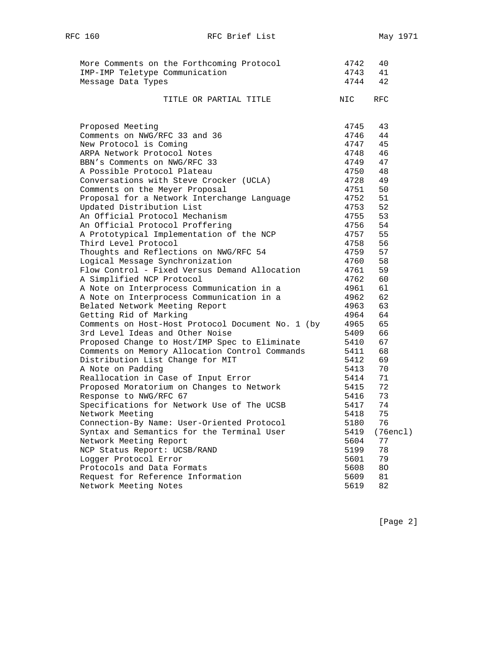| More Comments on the Forthcoming Protocol                | 4742         | 40       |
|----------------------------------------------------------|--------------|----------|
| IMP-IMP Teletype Communication                           | 4743         | 41       |
| Message Data Types                                       | 4744         | 42       |
| TITLE OR PARTIAL TITLE                                   | NIC          | RFC.     |
| Proposed Meeting                                         | 4745         | 43       |
| Comments on NWG/RFC 33 and 36                            | 4746         | 44       |
| New Protocol is Coming                                   | 4747         | 45       |
| ARPA Network Protocol Notes                              | 4748         | 46       |
| BBN's Comments on NWG/RFC 33                             | 4749         | 47       |
| A Possible Protocol Plateau                              | 4750         | 48       |
| Conversations with Steve Crocker (UCLA)                  | 4728         | 49       |
| Comments on the Meyer Proposal                           | 4751         | 50       |
| Proposal for a Network Interchange Language              | 4752         | 51       |
| Updated Distribution List                                | 4753         | 52       |
| An Official Protocol Mechanism                           | 4755         | 53       |
| An Official Protocol Proffering                          | 4756         | 54       |
| A Prototypical Implementation of the NCP                 | 4757         | 55       |
| Third Level Protocol                                     | 4758         | 56       |
| Thoughts and Reflections on NWG/RFC 54                   | 4759         | 57       |
| Logical Message Synchronization                          | 4760         | 58       |
| Flow Control - Fixed Versus Demand Allocation            | 4761         | 59       |
| A Simplified NCP Protocol                                | 4762<br>4961 | 60       |
| A Note on Interprocess Communication in a                | 4962         | 61<br>62 |
| A Note on Interprocess Communication in a                | 4963         | 63       |
| Belated Network Meeting Report<br>Getting Rid of Marking | 4964         | 64       |
| Comments on Host-Host Protocol Document No. 1 (by        | 4965         | 65       |
| 3rd Level Ideas and Other Noise                          | 5409         | 66       |
| Proposed Change to Host/IMP Spec to Eliminate            | 5410         | 67       |
| Comments on Memory Allocation Control Commands           | 5411         | 68       |
| Distribution List Change for MIT                         | 5412         | 69       |
| A Note on Padding                                        | 5413         | 70       |
| Reallocation in Case of Input Error                      | 5414         | 71       |
| Proposed Moratorium on Changes to Network                | 5415         | 72       |
| Response to NWG/RFC 67                                   | 5416         | 73       |
| Specifications for Network Use of The UCSB               | 5417         | 74       |
| Network Meeting                                          | 5418         | 75       |
| Connection-By Name: User-Oriented Protocol               | 5180         | 76       |
| Syntax and Semantics for the Terminal User               | 5419         | (76encl) |
| Network Meeting Report                                   | 5604         | 77       |
| NCP Status Report: UCSB/RAND                             | 5199         | 78       |
| Logger Protocol Error                                    | 5601         | 79       |
| Protocols and Data Formats                               | 5608         | 80       |
| Request for Reference Information                        | 5609         | 81       |
| Network Meeting Notes                                    | 5619         | 82       |

[Page 2]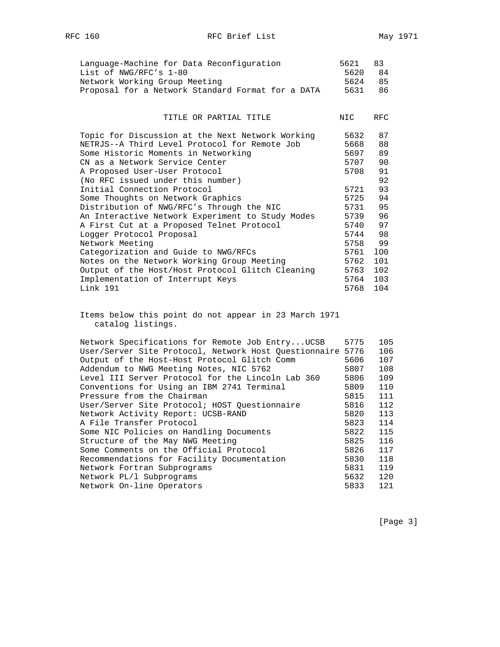| Language-Machine for Data Reconfiguration         | 5621    | $\overline{R}$ |
|---------------------------------------------------|---------|----------------|
| List of NWG/RFC's 1-80                            | 5620 84 |                |
| Network Working Group Meeting                     | 5624 85 |                |
| Proposal for a Network Standard Format for a DATA | 5631    | 86             |

## TITLE OR PARTIAL TITLE **NIC** RFC

| Topic for Discussion at the Next Network Working | 5632 | 87  |
|--------------------------------------------------|------|-----|
| NETRJS--A Third Level Protocol for Remote Job    | 5668 | 88  |
| Some Historic Moments in Networking              | 5697 | 89  |
| CN as a Network Service Center                   | 5707 | 90  |
| A Proposed User-User Protocol                    | 5708 | 91  |
| (No RFC issued under this number)                |      | 92  |
| Initial Connection Protocol                      | 5721 | 93  |
| Some Thoughts on Network Graphics                | 5725 | 94  |
| Distribution of NWG/RFC's Through the NIC        | 5731 | 95  |
| An Interactive Network Experiment to Study Modes | 5739 | 96  |
| A First Cut at a Proposed Telnet Protocol        | 5740 | 97  |
| Logger Protocol Proposal                         | 5744 | 98  |
| Network Meeting                                  | 5758 | 99  |
| Categorization and Guide to NWG/RFCs             | 5761 | 100 |
| Notes on the Network Working Group Meeting       | 5762 | 101 |
| Output of the Host/Host Protocol Glitch Cleaning | 5763 | 102 |
| Implementation of Interrupt Keys                 | 5764 | 103 |
| Link 191                                         | 5768 | 104 |

 Items below this point do not appear in 23 March 1971 catalog listings.

| Network Specifications for Remote Job EntryUCSB            | 5775 | 105 |
|------------------------------------------------------------|------|-----|
| User/Server Site Protocol, Network Host Ouestionnaire 5776 |      | 106 |
| Output of the Host-Host Protocol Glitch Comm               | 5606 | 107 |
| Addendum to NWG Meeting Notes, NIC 5762                    | 5807 | 108 |
| Level III Server Protocol for the Lincoln Lab 360          | 5806 | 109 |
| Conventions for Using an IBM 2741 Terminal                 | 5809 | 110 |
| Pressure from the Chairman                                 | 5815 | 111 |
| User/Server Site Protocol; HOST Ouestionnaire              | 5816 | 112 |
| Network Activity Report: UCSB-RAND                         | 5820 | 113 |
| A File Transfer Protocol                                   | 5823 | 114 |
| Some NIC Policies on Handling Documents                    | 5822 | 115 |
| Structure of the May NWG Meeting                           | 5825 | 116 |
| Some Comments on the Official Protocol                     | 5826 | 117 |
| Recommendations for Facility Documentation                 | 5830 | 118 |
| Network Fortran Subprograms                                | 5831 | 119 |
| Network PL/1 Subprograms                                   | 5632 | 120 |
| Network On-line Operators                                  | 5833 | 121 |
|                                                            |      |     |